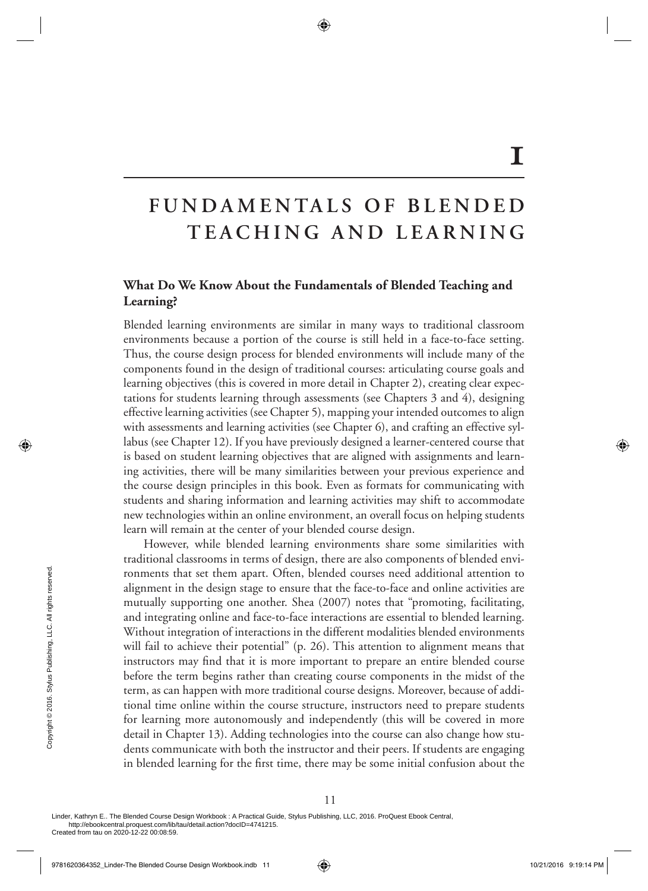**1**

# **F U N D A M E N TA L S O F B L E N D E D TEACHING AND LEARNING**

#### **What Do We Know About the Fundamentals of Blended Teaching and Learning?**

Blended learning environments are similar in many ways to traditional classroom environments because a portion of the course is still held in a face-to-face setting. Thus, the course design process for blended environments will include many of the components found in the design of traditional courses: articulating course goals and learning objectives (this is covered in more detail in Chapter 2), creating clear expectations for students learning through assessments (see Chapters 3 and 4), designing effective learning activities (see Chapter 5), mapping your intended outcomes to align with assessments and learning activities (see Chapter 6), and crafting an effective syllabus (see Chapter 12). If you have previously designed a learner-centered course that is based on student learning objectives that are aligned with assignments and learning activities, there will be many similarities between your previous experience and the course design principles in this book. Even as formats for communicating with students and sharing information and learning activities may shift to accommodate new technologies within an online environment, an overall focus on helping students learn will remain at the center of your blended course design.

However, while blended learning environments share some similarities with traditional classrooms in terms of design, there are also components of blended environments that set them apart. Often, blended courses need additional attention to alignment in the design stage to ensure that the face-to-face and online activities are mutually supporting one another. Shea (2007) notes that "promoting, facilitating, and integrating online and face-to-face interactions are essential to blended learning. Without integration of interactions in the different modalities blended environments will fail to achieve their potential" (p. 26). This attention to alignment means that instructors may find that it is more important to prepare an entire blended course before the term begins rather than creating course components in the midst of the term, as can happen with more traditional course designs. Moreover, because of additional time online within the course structure, instructors need to prepare students for learning more autonomously and independently (this will be covered in more detail in Chapter 13). Adding technologies into the course can also change how students communicate with both the instructor and their peers. If students are engaging in blended learning for the first time, there may be some initial confusion about the From the state of the state of the state of the state of the state of the state of the state of the state of the state of the state of the state of the state of the state of the state of the state of the state of the state

Linder, Kathryn E.. The Blended Course Design Workbook : A Practical Guide, Stylus Publishing, LLC, 2016. ProQuest Ebook Central, http://ebookcentral.proquest.com/lib/tau/detail.action?docID=4741215.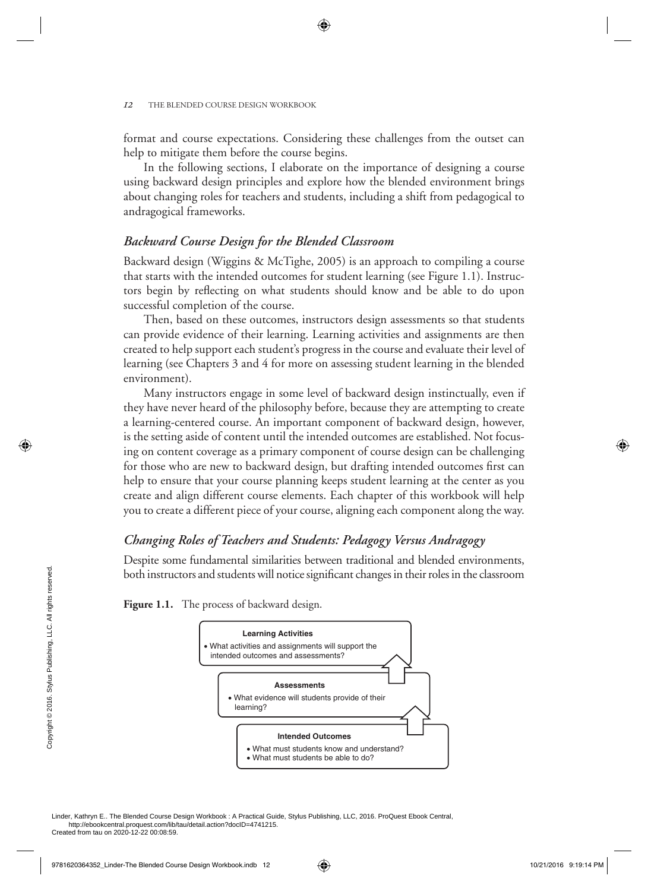format and course expectations. Considering these challenges from the outset can help to mitigate them before the course begins.

In the following sections, I elaborate on the importance of designing a course using backward design principles and explore how the blended environment brings about changing roles for teachers and students, including a shift from pedagogical to andragogical frameworks.

#### *Backward Course Design for the Blended Classroom*

Backward design (Wiggins & McTighe, 2005) is an approach to compiling a course that starts with the intended outcomes for student learning (see Figure 1.1). Instructors begin by reflecting on what students should know and be able to do upon successful completion of the course.

Then, based on these outcomes, instructors design assessments so that students can provide evidence of their learning. Learning activities and assignments are then created to help support each student's progress in the course and evaluate their level of learning (see Chapters 3 and 4 for more on assessing student learning in the blended environment).

Many instructors engage in some level of backward design instinctually, even if they have never heard of the philosophy before, because they are attempting to create a learning-centered course. An important component of backward design, however, is the setting aside of content until the intended outcomes are established. Not focusing on content coverage as a primary component of course design can be challenging for those who are new to backward design, but drafting intended outcomes first can help to ensure that your course planning keeps student learning at the center as you create and align different course elements. Each chapter of this workbook will help you to create a different piece of your course, aligning each component along the way.

## *Changing Roles of Teachers and Students: Pedagogy Versus Andragogy*

Despite some fundamental similarities between traditional and blended environments, both instructors and students will notice significant changes in their roles in the classroom



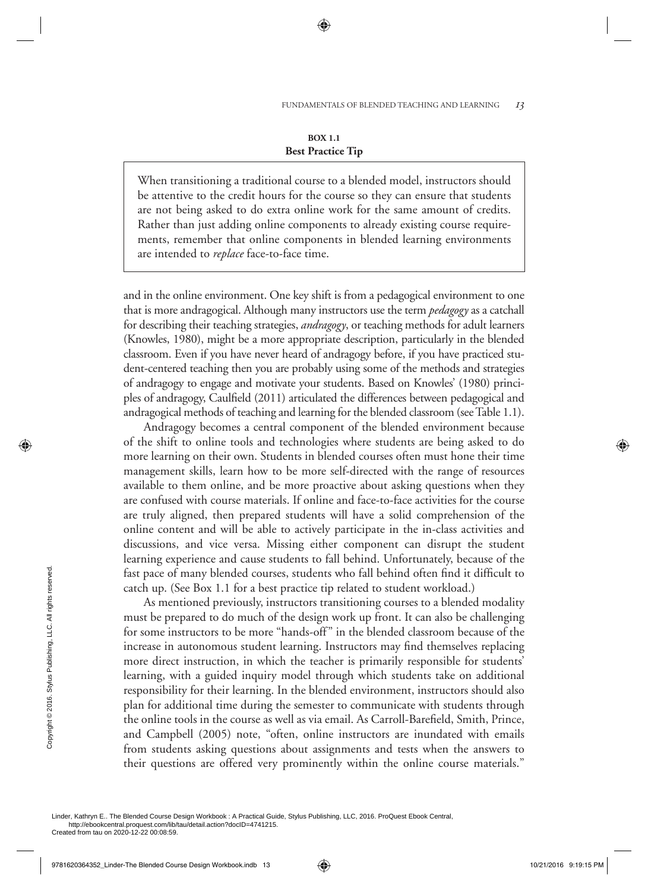**BOX 1.1 Best Practice Tip**

When transitioning a traditional course to a blended model, instructors should be attentive to the credit hours for the course so they can ensure that students are not being asked to do extra online work for the same amount of credits. Rather than just adding online components to already existing course requirements, remember that online components in blended learning environments are intended to *replace* face-to-face time.

and in the online environment. One key shift is from a pedagogical environment to one that is more andragogical. Although many instructors use the term *pedagogy* as a catchall for describing their teaching strategies, *andragogy*, or teaching methods for adult learners (Knowles, 1980), might be a more appropriate description, particularly in the blended classroom. Even if you have never heard of andragogy before, if you have practiced student-centered teaching then you are probably using some of the methods and strategies of andragogy to engage and motivate your students. Based on Knowles' (1980) principles of andragogy, Caulfield (2011) articulated the differences between pedagogical and andragogical methods of teaching and learning for the blended classroom (see Table 1.1).

Andragogy becomes a central component of the blended environment because of the shift to online tools and technologies where students are being asked to do more learning on their own. Students in blended courses often must hone their time management skills, learn how to be more self-directed with the range of resources available to them online, and be more proactive about asking questions when they are confused with course materials. If online and face-to-face activities for the course are truly aligned, then prepared students will have a solid comprehension of the online content and will be able to actively participate in the in-class activities and discussions, and vice versa. Missing either component can disrupt the student learning experience and cause students to fall behind. Unfortunately, because of the fast pace of many blended courses, students who fall behind often find it difficult to catch up. (See Box 1.1 for a best practice tip related to student workload.)

As mentioned previously, instructors transitioning courses to a blended modality must be prepared to do much of the design work up front. It can also be challenging for some instructors to be more "hands-off" in the blended classroom because of the increase in autonomous student learning. Instructors may find themselves replacing more direct instruction, in which the teacher is primarily responsible for students' learning, with a guided inquiry model through which students take on additional responsibility for their learning. In the blended environment, instructors should also plan for additional time during the semester to communicate with students through the online tools in the course as well as via email. As Carroll-Barefield, Smith, Prince, and Campbell (2005) note, "often, online instructors are inundated with emails from students asking questions about assignments and tests when the answers to their questions are offered very prominently within the online course materials." Exercise from the production of the production of the production of the production of the production of the production of the production of the production of the production of the production of the production of the produc

Linder, Kathryn E.. The Blended Course Design Workbook : A Practical Guide, Stylus Publishing, LLC, 2016. ProQuest Ebook Central, http://ebookcentral.proquest.com/lib/tau/detail.action?docID=4741215.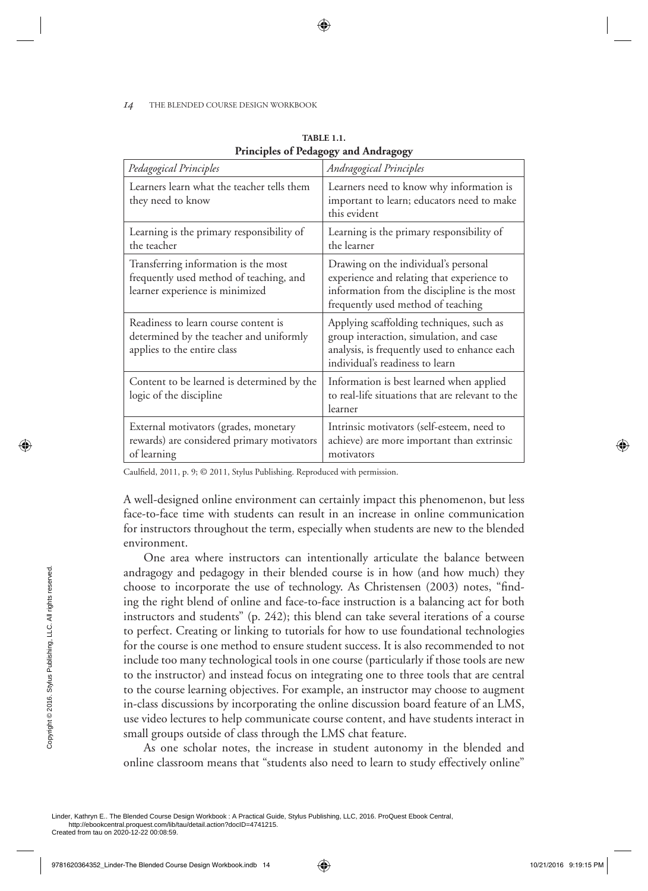| Pedagogical Principles                                                                                             | Andragogical Principles                                                                                                                                                 |
|--------------------------------------------------------------------------------------------------------------------|-------------------------------------------------------------------------------------------------------------------------------------------------------------------------|
| Learners learn what the teacher tells them<br>they need to know                                                    | Learners need to know why information is<br>important to learn; educators need to make<br>this evident                                                                  |
| Learning is the primary responsibility of<br>the teacher                                                           | Learning is the primary responsibility of<br>the learner                                                                                                                |
| Transferring information is the most<br>frequently used method of teaching, and<br>learner experience is minimized | Drawing on the individual's personal<br>experience and relating that experience to<br>information from the discipline is the most<br>frequently used method of teaching |
| Readiness to learn course content is<br>determined by the teacher and uniformly<br>applies to the entire class     | Applying scaffolding techniques, such as<br>group interaction, simulation, and case<br>analysis, is frequently used to enhance each<br>individual's readiness to learn  |
| Content to be learned is determined by the<br>logic of the discipline                                              | Information is best learned when applied<br>to real-life situations that are relevant to the<br>learner                                                                 |
| External motivators (grades, monetary<br>rewards) are considered primary motivators<br>of learning                 | Intrinsic motivators (self-esteem, need to<br>achieve) are more important than extrinsic<br>motivators                                                                  |

**TABLE 1.1. Principles of Pedagogy and Andragogy**

Caulfield, 2011, p. 9; © 2011, Stylus Publishing. Reproduced with permission.

A well-designed online environment can certainly impact this phenomenon, but less face-to-face time with students can result in an increase in online communication for instructors throughout the term, especially when students are new to the blended environment.

One area where instructors can intentionally articulate the balance between andragogy and pedagogy in their blended course is in how (and how much) they choose to incorporate the use of technology. As Christensen (2003) notes, "finding the right blend of online and face-to-face instruction is a balancing act for both instructors and students" (p. 242); this blend can take several iterations of a course to perfect. Creating or linking to tutorials for how to use foundational technologies for the course is one method to ensure student success. It is also recommended to not include too many technological tools in one course (particularly if those tools are new to the instructor) and instead focus on integrating one to three tools that are central to the course learning objectives. For example, an instructor may choose to augment in-class discussions by incorporating the online discussion board feature of an LMS, use video lectures to help communicate course content, and have students interact in small groups outside of class through the LMS chat feature. Exercise the cours of the cours of the cours of the cours of the cours in-class disc<br>
grade and the cours in-class disc<br>
grade and the cours in-class disc<br>
grade and group<br>
the cours in-class disc<br>
grade wideo le small gro

As one scholar notes, the increase in student autonomy in the blended and online classroom means that "students also need to learn to study effectively online"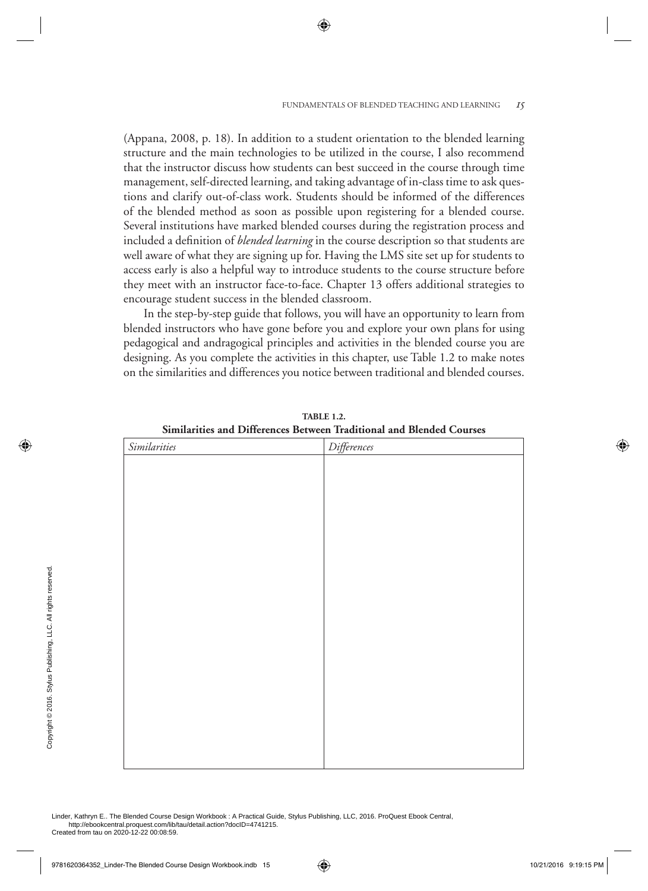(Appana, 2008, p. 18). In addition to a student orientation to the blended learning structure and the main technologies to be utilized in the course, I also recommend that the instructor discuss how students can best succeed in the course through time management, self-directed learning, and taking advantage of in-class time to ask questions and clarify out-of-class work. Students should be informed of the differences of the blended method as soon as possible upon registering for a blended course. Several institutions have marked blended courses during the registration process and included a definition of *blended learning* in the course description so that students are well aware of what they are signing up for. Having the LMS site set up for students to access early is also a helpful way to introduce students to the course structure before they meet with an instructor face-to-face. Chapter 13 offers additional strategies to encourage student success in the blended classroom.

In the step-by-step guide that follows, you will have an opportunity to learn from blended instructors who have gone before you and explore your own plans for using pedagogical and andragogical principles and activities in the blended course you are designing. As you complete the activities in this chapter, use Table 1.2 to make notes on the similarities and differences you notice between traditional and blended courses.

|                                                                                                                                 | <b>Similarities</b> | Differences |  |  |
|---------------------------------------------------------------------------------------------------------------------------------|---------------------|-------------|--|--|
|                                                                                                                                 |                     |             |  |  |
|                                                                                                                                 |                     |             |  |  |
|                                                                                                                                 |                     |             |  |  |
|                                                                                                                                 |                     |             |  |  |
|                                                                                                                                 |                     |             |  |  |
|                                                                                                                                 |                     |             |  |  |
|                                                                                                                                 |                     |             |  |  |
|                                                                                                                                 |                     |             |  |  |
|                                                                                                                                 |                     |             |  |  |
|                                                                                                                                 |                     |             |  |  |
|                                                                                                                                 |                     |             |  |  |
| Copyright © 2016. Stylus Publishing, LLC. All rights reserved.                                                                  |                     |             |  |  |
|                                                                                                                                 |                     |             |  |  |
|                                                                                                                                 |                     |             |  |  |
|                                                                                                                                 |                     |             |  |  |
|                                                                                                                                 |                     |             |  |  |
|                                                                                                                                 |                     |             |  |  |
|                                                                                                                                 |                     |             |  |  |
|                                                                                                                                 |                     |             |  |  |
|                                                                                                                                 |                     |             |  |  |
|                                                                                                                                 |                     |             |  |  |
| Linder, Kathryn E The Blended Course Design Workbook : A Practical Guide, Stylus Publishing, LLC, 2016. ProQuest Ebook Central, |                     |             |  |  |
| http://ebookcentral.proquest.com/lib/tau/detail.action?docID=4741215.<br>Created from tau on 2020-12-22 00:08:59.               |                     |             |  |  |

**TABLE 1.2. Similarities and Differences Between Traditional and Blended Courses**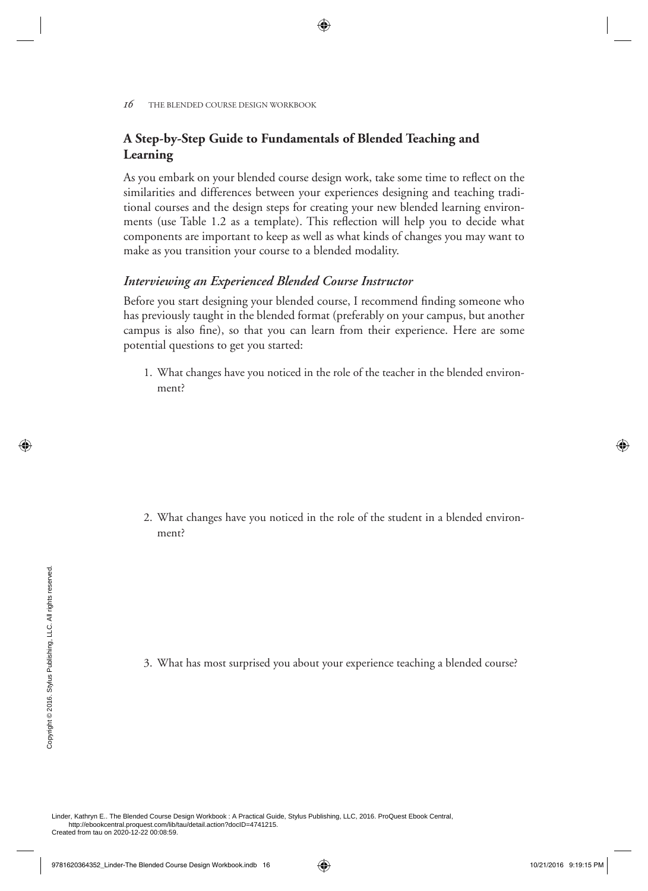# **A Step-by-Step Guide to Fundamentals of Blended Teaching and Learning**

As you embark on your blended course design work, take some time to reflect on the similarities and differences between your experiences designing and teaching traditional courses and the design steps for creating your new blended learning environments (use Table 1.2 as a template). This reflection will help you to decide what components are important to keep as well as what kinds of changes you may want to make as you transition your course to a blended modality.

#### *Interviewing an Experienced Blended Course Instructor*

Before you start designing your blended course, I recommend finding someone who has previously taught in the blended format (preferably on your campus, but another campus is also fine), so that you can learn from their experience. Here are some potential questions to get you started:

1. What changes have you noticed in the role of the teacher in the blended environment?

2. What changes have you noticed in the role of the student in a blended environment?

3. What has most surprised you about your experience teaching a blended course?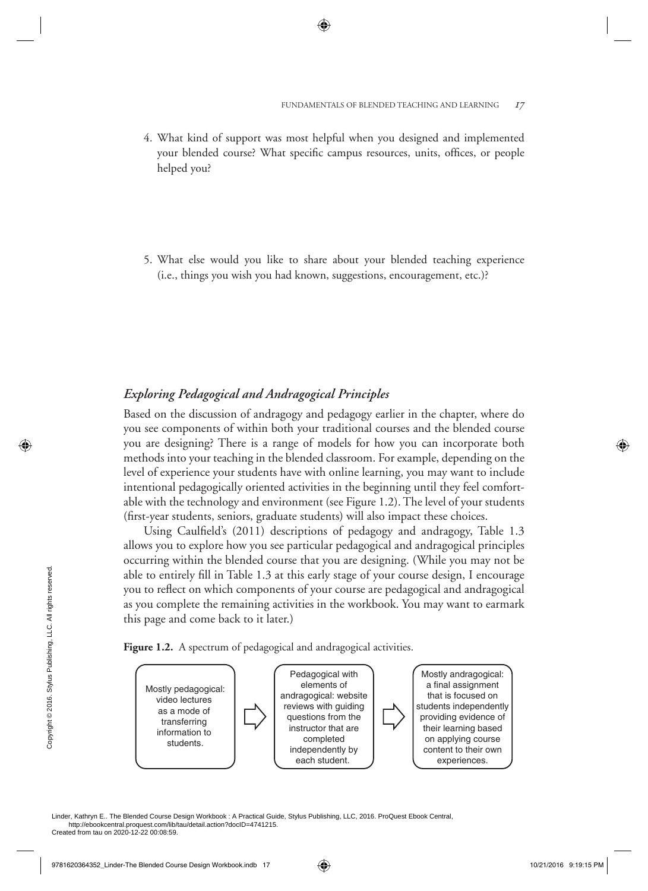- 4. What kind of support was most helpful when you designed and implemented your blended course? What specific campus resources, units, offices, or people helped you?
- 5. What else would you like to share about your blended teaching experience (i.e., things you wish you had known, suggestions, encouragement, etc.)?

## *Exploring Pedagogical and Andragogical Principles*

Based on the discussion of andragogy and pedagogy earlier in the chapter, where do you see components of within both your traditional courses and the blended course you are designing? There is a range of models for how you can incorporate both methods into your teaching in the blended classroom. For example, depending on the level of experience your students have with online learning, you may want to include intentional pedagogically oriented activities in the beginning until they feel comfortable with the technology and environment (see Figure 1.2). The level of your students (first-year students, seniors, graduate students) will also impact these choices.

Using Caulfield's (2011) descriptions of pedagogy and andragogy, Table 1.3 allows you to explore how you see particular pedagogical and andragogical principles occurring within the blended course that you are designing. (While you may not be able to entirely fill in Table 1.3 at this early stage of your course design, I encourage you to reflect on which components of your course are pedagogical and andragogical as you complete the remaining activities in the workbook. You may want to earmark this page and come back to it later.)

**Figure 1.2.** A spectrum of pedagogical and andragogical activities.



Linder, Kathryn E.. The Blended Course Design Workbook : A Practical Guide, Stylus Publishing, LLC, 2016. ProQuest Ebook Central, http://ebookcentral.proquest.com/lib/tau/detail.action?docID=4741215.<br>Created from tau on 2020-12-22 00:08:59.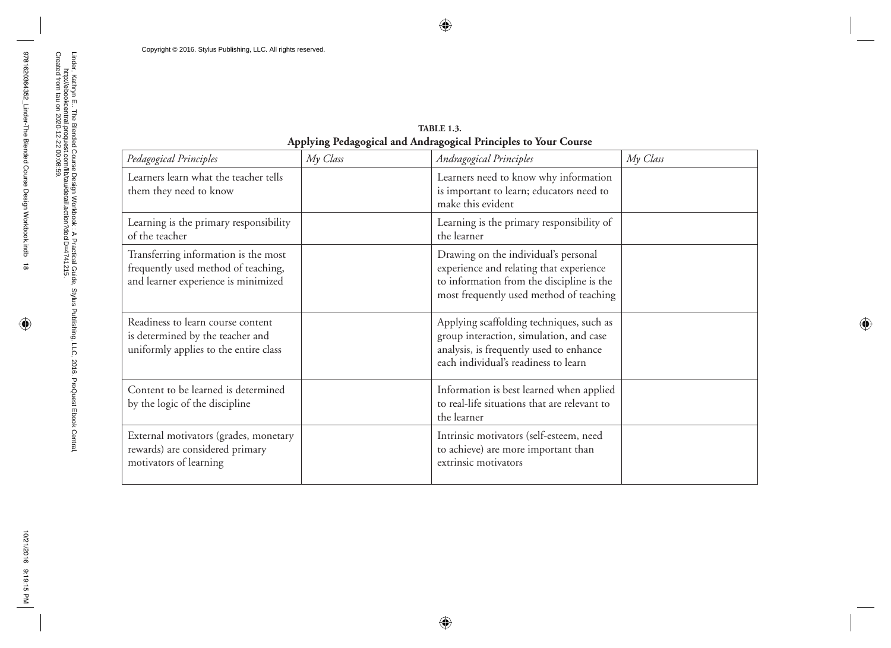| <b>TABLE 1.3.</b><br>Applying Pedagogical and Andragogical Principles to Your Course                               |          |                                                                                                                                                                         |          |  |
|--------------------------------------------------------------------------------------------------------------------|----------|-------------------------------------------------------------------------------------------------------------------------------------------------------------------------|----------|--|
| Pedagogical Principles                                                                                             | My Class | Andragogical Principles                                                                                                                                                 | My Class |  |
| Learners learn what the teacher tells<br>them they need to know                                                    |          | Learners need to know why information<br>is important to learn; educators need to<br>make this evident                                                                  |          |  |
| Learning is the primary responsibility<br>of the teacher                                                           |          | Learning is the primary responsibility of<br>the learner                                                                                                                |          |  |
| Transferring information is the most<br>frequently used method of teaching,<br>and learner experience is minimized |          | Drawing on the individual's personal<br>experience and relating that experience<br>to information from the discipline is the<br>most frequently used method of teaching |          |  |
| Readiness to learn course content<br>is determined by the teacher and<br>uniformly applies to the entire class     |          | Applying scaffolding techniques, such as<br>group interaction, simulation, and case<br>analysis, is frequently used to enhance<br>each individual's readiness to learn  |          |  |
| Content to be learned is determined<br>by the logic of the discipline                                              |          | Information is best learned when applied<br>to real-life situations that are relevant to<br>the learner                                                                 |          |  |
| External motivators (grades, monetary<br>rewards) are considered primary<br>motivators of learning                 |          | Intrinsic motivators (self-esteem, need<br>to achieve) are more important than<br>extrinsic motivators                                                                  |          |  |

**TABLE 1.3. Applying Pedagogical and Andragogical Principles to Your Course**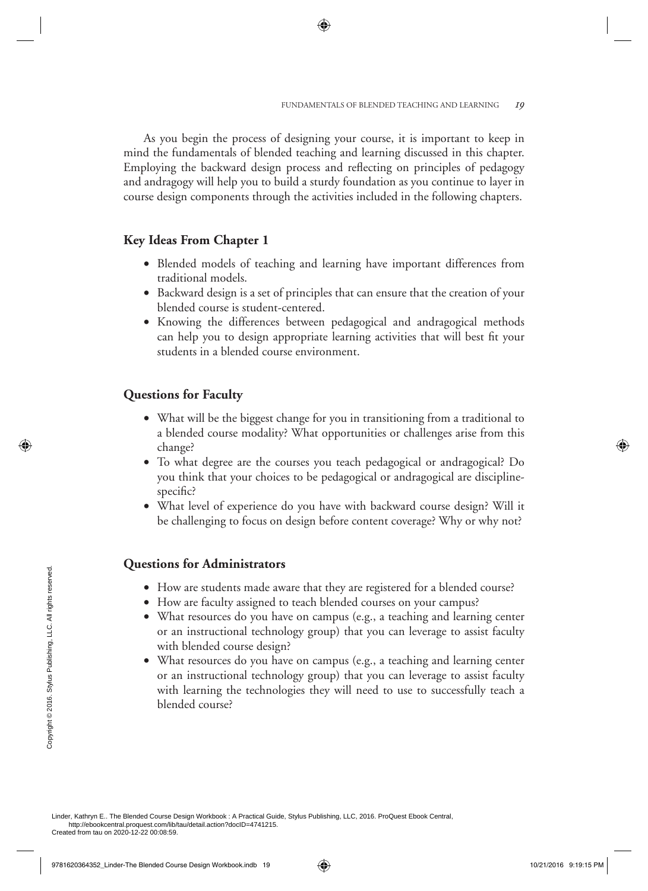As you begin the process of designing your course, it is important to keep in mind the fundamentals of blended teaching and learning discussed in this chapter. Employing the backward design process and reflecting on principles of pedagogy and andragogy will help you to build a sturdy foundation as you continue to layer in course design components through the activities included in the following chapters.

#### **Key Ideas From Chapter 1**

- Blended models of teaching and learning have important differences from traditional models.
- Backward design is a set of principles that can ensure that the creation of your blended course is student-centered.
- Knowing the differences between pedagogical and andragogical methods can help you to design appropriate learning activities that will best fit your students in a blended course environment.

## **Questions for Faculty**

- What will be the biggest change for you in transitioning from a traditional to a blended course modality? What opportunities or challenges arise from this change?
- To what degree are the courses you teach pedagogical or andragogical? Do you think that your choices to be pedagogical or andragogical are disciplinespecific?
- What level of experience do you have with backward course design? Will it be challenging to focus on design before content coverage? Why or why not?

### **Questions for Administrators**

- How are students made aware that they are registered for a blended course?
- How are faculty assigned to teach blended courses on your campus?
- What resources do you have on campus (e.g., a teaching and learning center or an instructional technology group) that you can leverage to assist faculty with blended course design?
- What resources do you have on campus (e.g., a teaching and learning center or an instructional technology group) that you can leverage to assist faculty with learning the technologies they will need to use to successfully teach a blended course?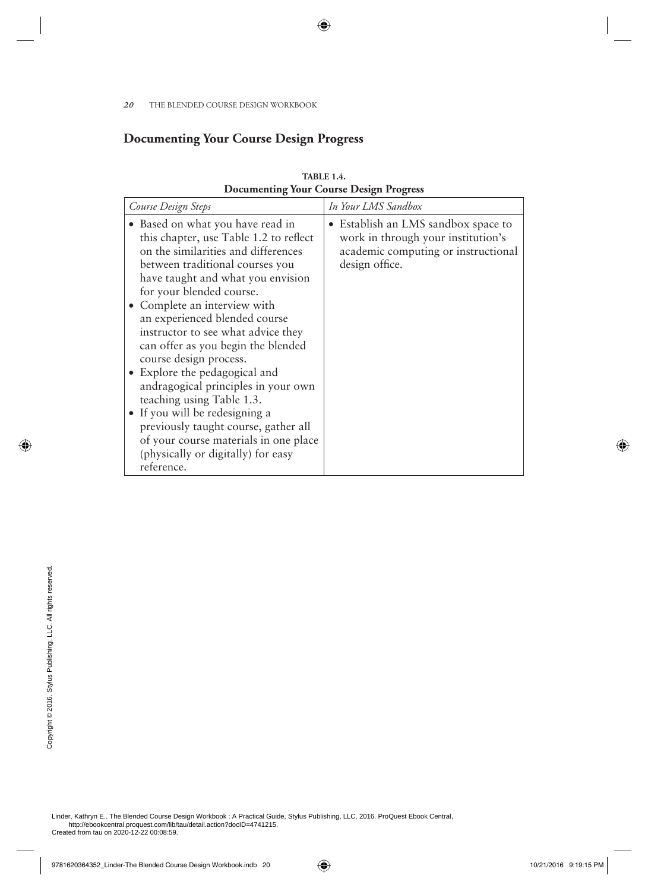# **Documenting Your Course Design Progress**

| Course Design Steps                                                                                                                                                                                                                                                                                                                                                                                                                                                                                                                                                                                                                                                      | In Your LMS Sandbox                                                                                                                |
|--------------------------------------------------------------------------------------------------------------------------------------------------------------------------------------------------------------------------------------------------------------------------------------------------------------------------------------------------------------------------------------------------------------------------------------------------------------------------------------------------------------------------------------------------------------------------------------------------------------------------------------------------------------------------|------------------------------------------------------------------------------------------------------------------------------------|
| • Based on what you have read in<br>this chapter, use Table 1.2 to reflect<br>on the similarities and differences<br>between traditional courses you<br>have taught and what you envision<br>for your blended course.<br>• Complete an interview with<br>an experienced blended course<br>instructor to see what advice they<br>can offer as you begin the blended<br>course design process.<br>• Explore the pedagogical and<br>andragogical principles in your own<br>teaching using Table 1.3.<br>• If you will be redesigning a<br>previously taught course, gather all<br>of your course materials in one place<br>(physically or digitally) for easy<br>reference. | • Establish an LMS sandbox space to<br>work in through your institution's<br>academic computing or instructional<br>design office. |

**TABLE 1.4. Documenting Your Course Design Progress**